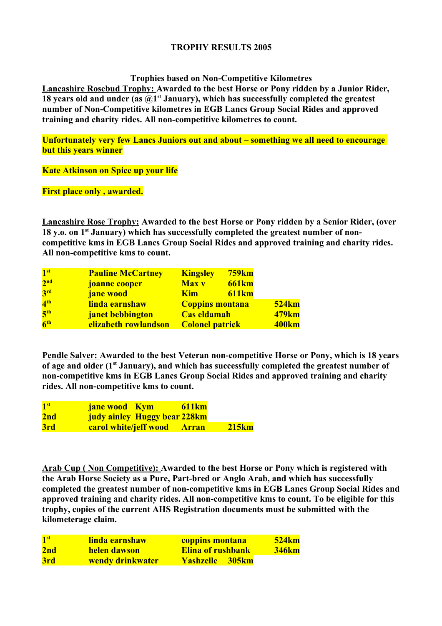### **TROPHY RESULTS 2005**

**Trophies based on Non-Competitive Kilometres**

**Lancashire Rosebud Trophy: Awarded to the best Horse or Pony ridden by a Junior Rider,**  18 years old and under (as  $\widehat{a}$ )<sup> $st$ </sup> January), which has successfully completed the greatest **number of Non-Competitive kilometres in EGB Lancs Group Social Rides and approved training and charity rides. All non-competitive kilometres to count.**

**Unfortunately very few Lancs Juniors out and about – something we all need to encourage but this years winner**

**Kate Atkinson on Spice up your life**

**First place only , awarded.**

**Lancashire Rose Trophy: Awarded to the best Horse or Pony ridden by a Senior Rider, (over 18 y.o. on 1st January) which has successfully completed the greatest number of noncompetitive kms in EGB Lancs Group Social Rides and approved training and charity rides. All non-competitive kms to count.**

| 1 <sup>st</sup> | <b>Pauline McCartney</b> | <b>Kingsley</b>        | <b>759km</b> |                   |
|-----------------|--------------------------|------------------------|--------------|-------------------|
| 2 <sup>nd</sup> | joanne cooper            | <b>Max v</b>           | <b>661km</b> |                   |
| 3 <sup>rd</sup> | <b>jane</b> wood         | <b>Kim</b>             | <b>611km</b> |                   |
| 4 <sup>th</sup> | linda earnshaw           | <b>Coppins montana</b> |              | <b>524km</b>      |
| 5 <sup>th</sup> | janet bebbington         | <b>Cas eldamah</b>     |              | 479 <sub>km</sub> |
| 6 <sup>th</sup> | elizabeth rowlandson     | <b>Colonel patrick</b> |              | <b>400km</b>      |

**Pendle Salver: Awarded to the best Veteran non-competitive Horse or Pony, which is 18 years of age and older (1st January), and which has successfully completed the greatest number of non-competitive kms in EGB Lancs Group Social Rides and approved training and charity rides. All non-competitive kms to count.**

| 1 <sup>st</sup> | <b>611km</b><br><b>jane wood</b> Kym |              |
|-----------------|--------------------------------------|--------------|
| 2nd             | judy ainley Huggy bear 228km         |              |
| 3rd             | <b>carol white/jeff wood Arran</b>   | <b>215km</b> |

**Arab Cup ( Non Competitive): Awarded to the best Horse or Pony which is registered with the Arab Horse Society as a Pure, Part-bred or Anglo Arab, and which has successfully completed the greatest number of non-competitive kms in EGB Lancs Group Social Rides and approved training and charity rides. All non-competitive kms to count. To be eligible for this trophy, copies of the current AHS Registration documents must be submitted with the kilometerage claim.**

| 1 <sup>st</sup> | <u>linda earnshaw</u> | <b>coppins montana</b>   | <b>524km</b> |
|-----------------|-----------------------|--------------------------|--------------|
| 2nd             | helen dawson          | <b>Elina of rushbank</b> | <b>346km</b> |
| 3rd             | wendy drinkwater      | <b>Yashzelle</b> 305km   |              |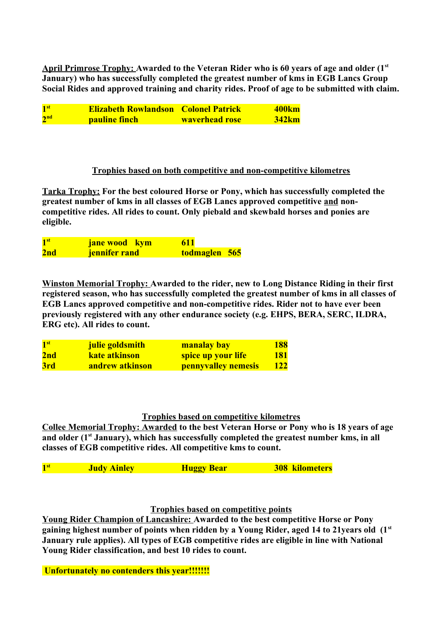**April Primrose Trophy: Awarded to the Veteran Rider who is 60 years of age and older (1st January) who has successfully completed the greatest number of kms in EGB Lancs Group Social Rides and approved training and charity rides. Proof of age to be submitted with claim.**

| $\mathbf{1}^{\mathrm{st}}$ | <b>Elizabeth Rowlandson Colonel Patrick</b> |                       | <b>400km</b> |
|----------------------------|---------------------------------------------|-----------------------|--------------|
| 2 <sup>nd</sup>            | <b>pauline finch</b>                        | <b>waverhead rose</b> | <b>342km</b> |

### **Trophies based on both competitive and non-competitive kilometres**

**Tarka Trophy: For the best coloured Horse or Pony, which has successfully completed the greatest number of kms in all classes of EGB Lancs approved competitive and noncompetitive rides. All rides to count. Only piebald and skewbald horses and ponies are eligible.**

| 1 <sup>st</sup> | <b>jane wood</b> kym | <b>611</b>    |
|-----------------|----------------------|---------------|
| 2nd             | <b>jennifer rand</b> | todmaglen 565 |

**Winston Memorial Trophy: Awarded to the rider, new to Long Distance Riding in their first registered season, who has successfully completed the greatest number of kms in all classes of EGB Lancs approved competitive and non-competitive rides. Rider not to have ever been previously registered with any other endurance society (e.g. EHPS, BERA, SERC, ILDRA, ERG etc). All rides to count.**

| 1 <sup>st</sup> | julie goldsmith | <b>manalay bay</b>         | 188        |
|-----------------|-----------------|----------------------------|------------|
| 2nd             | kate atkinson   | spice up your life         | <b>181</b> |
| 3rd             | andrew atkinson | <b>pennyvalley nemesis</b> | 122        |

# **Trophies based on competitive kilometres**

**Collee Memorial Trophy: Awarded to the best Veteran Horse or Pony who is 18 years of age and older (1st January), which has successfully completed the greatest number kms, in all classes of EGB competitive rides. All competitive kms to count.** 

| 1 <sup>st</sup> | <b>Judy Ainley</b> | <b>Huggy Bear</b> | <b>308 kilometers</b> |
|-----------------|--------------------|-------------------|-----------------------|
|                 |                    |                   |                       |

# **Trophies based on competitive points**

**Young Rider Champion of Lancashire: Awarded to the best competitive Horse or Pony gaining highest number of points when ridden by a Young Rider, aged 14 to 21years old (1st January rule applies). All types of EGB competitive rides are eligible in line with National Young Rider classification, and best 10 rides to count.**

 **Unfortunately no contenders this year!!!!!!!**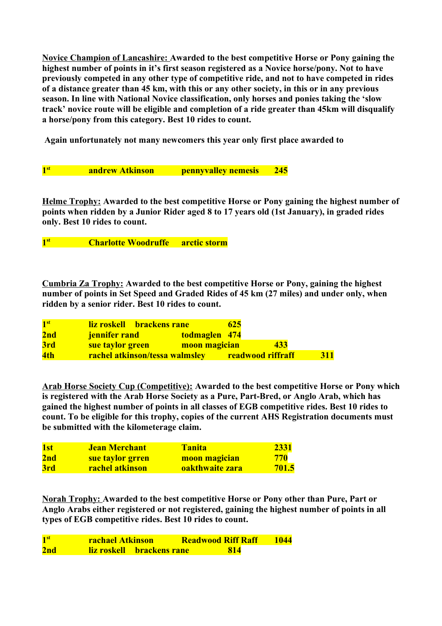**Novice Champion of Lancashire: Awarded to the best competitive Horse or Pony gaining the highest number of points in it's first season registered as a Novice horse/pony. Not to have previously competed in any other type of competitive ride, and not to have competed in rides of a distance greater than 45 km, with this or any other society, in this or in any previous season. In line with National Novice classification, only horses and ponies taking the 'slow track' novice route will be eligible and completion of a ride greater than 45km will disqualify a horse/pony from this category. Best 10 rides to count.**

 **Again unfortunately not many newcomers this year only first place awarded to**

**1**st **1 1 1 1 starbor 1245 andrew Atkinson pennyvalley nemesis 245** 

**Helme Trophy: Awarded to the best competitive Horse or Pony gaining the highest number of points when ridden by a Junior Rider aged 8 to 17 years old (1st January), in graded rides only. Best 10 rides to count.**

**1 st Charlotte Woodruffe arctic storm**

**Cumbria Za Trophy: Awarded to the best competitive Horse or Pony, gaining the highest number of points in Set Speed and Graded Rides of 45 km (27 miles) and under only, when ridden by a senior rider. Best 10 rides to count.**

| 1 <sup>st</sup> | <u>liz roskell brackens rane</u>      | 625                      |            |
|-----------------|---------------------------------------|--------------------------|------------|
| 2nd             | <b>jennifer rand</b>                  | todmaglen 474            |            |
| 3rd             | sue taylor green                      | moon magician<br>433     |            |
| 4th             | <b>rachel atkinson/tessa walmsley</b> | <b>readwood riffraff</b> | <b>311</b> |

**Arab Horse Society Cup (Competitive): Awarded to the best competitive Horse or Pony which is registered with the Arab Horse Society as a Pure, Part-Bred, or Anglo Arab, which has gained the highest number of points in all classes of EGB competitive rides. Best 10 rides to count. To be eligible for this trophy, copies of the current AHS Registration documents must be submitted with the kilometerage claim.**

| 1 <sub>st</sub> | <b>Jean Merchant</b>   | Tanita          | 2331         |
|-----------------|------------------------|-----------------|--------------|
| 2nd             | sue taylor grren       | moon magician   | 770          |
| 3rd             | <b>rachel atkinson</b> | oakthwaite zara | <b>701.5</b> |

**Norah Trophy: Awarded to the best competitive Horse or Pony other than Pure, Part or Anglo Arabs either registered or not registered, gaining the highest number of points in all types of EGB competitive rides. Best 10 rides to count.**

| 1 <sup>st</sup> | <b>rachael Atkinson</b> |                                  | <b>Readwood Riff Raff</b> |     | 1044 |
|-----------------|-------------------------|----------------------------------|---------------------------|-----|------|
| 2nd             |                         | <u>liz roskell brackens rane</u> |                           | 814 |      |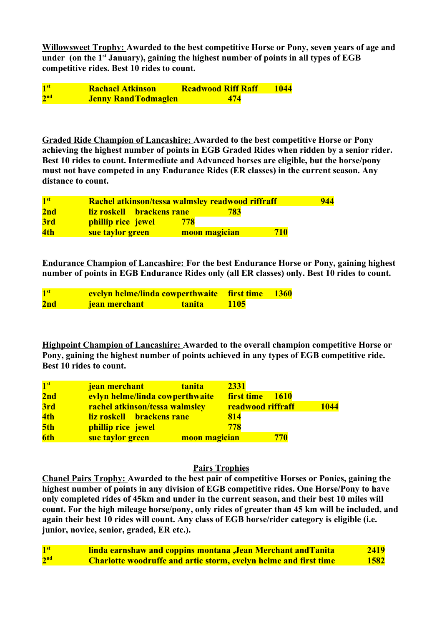**Willowsweet Trophy: Awarded to the best competitive Horse or Pony, seven years of age and under (on the 1st January), gaining the highest number of points in all types of EGB competitive rides. Best 10 rides to count.**

1<sup>st</sup> **st Rachael Atkinson Readwood Riff Raff 1044**  $2<sup>nd</sup>$ **nd Jenny RandTodmaglen 474**

**Graded Ride Champion of Lancashire: Awarded to the best competitive Horse or Pony achieving the highest number of points in EGB Graded Rides when ridden by a senior rider. Best 10 rides to count. Intermediate and Advanced horses are eligible, but the horse/pony must not have competed in any Endurance Rides (ER classes) in the current season. Any distance to count.**

| 1 <sup>st</sup> | Rachel atkinson/tessa walmsley readwood riffraff |               | 944 |
|-----------------|--------------------------------------------------|---------------|-----|
| 2nd             | liz roskell brackens rane                        | 783           |     |
| 3rd             | phillip rice jewel                               | 778           |     |
| 4th             | sue taylor green                                 | moon magician | 710 |

**Endurance Champion of Lancashire: For the best Endurance Horse or Pony, gaining highest number of points in EGB Endurance Rides only (all ER classes) only. Best 10 rides to count.**

| 1 <sup>st</sup> | evelyn helme/linda cowperthwaite first time 1360 |               |             |  |
|-----------------|--------------------------------------------------|---------------|-------------|--|
| 2nd             | <b>jean merchant</b>                             | <b>tanita</b> | <b>1105</b> |  |

**Highpoint Champion of Lancashire: Awarded to the overall champion competitive Horse or Pony, gaining the highest number of points achieved in any types of EGB competitive ride. Best 10 rides to count.**

| 1 <sup>st</sup> | jean merchant<br><b>tanita</b>  | 2331                             |             |
|-----------------|---------------------------------|----------------------------------|-------------|
| 2nd             | evlyn helme/linda cowperthwaite | <b>first time</b><br><b>1610</b> |             |
| 3rd             | rachel atkinson/tessa walmsley  | <b>readwood riffraff</b>         | <b>1044</b> |
| 4th             | liz roskell brackens rane       | 814                              |             |
| 5th             | phillip rice jewel              | 778                              |             |
| 6th             | sue taylor green                | 770<br>moon magician             |             |

# **Pairs Trophies**

**Chanel Pairs Trophy: Awarded to the best pair of competitive Horses or Ponies, gaining the highest number of points in any division of EGB competitive rides. One Horse/Pony to have only completed rides of 45km and under in the current season, and their best 10 miles will count. For the high mileage horse/pony, only rides of greater than 45 km will be included, and again their best 10 rides will count. Any class of EGB horse/rider category is eligible (i.e. junior, novice, senior, graded, ER etc.).**

| 1 <sup>st</sup> | <b>linda earnshaw and coppins montana, Jean Merchant and Tanita</b>     | 2419 |
|-----------------|-------------------------------------------------------------------------|------|
| 2 <sup>nd</sup> | <b>Charlotte woodruffe and artic storm, evelyn helme and first time</b> | 1582 |